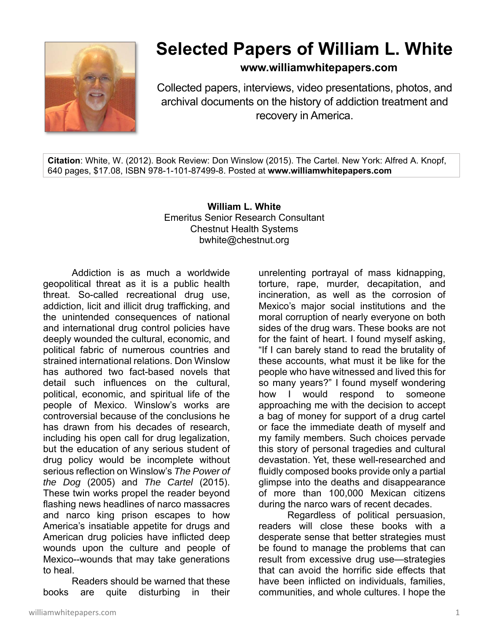

## **Selected Papers of William L. White**

**www.williamwhitepapers.com**

Collected papers, interviews, video presentations, photos, and archival documents on the history of addiction treatment and recovery in America.

**Citation**: White, W. (2012). Book Review: Don Winslow (2015). The Cartel. New York: Alfred A. Knopf, 640 pages, \$17.08, ISBN 978-1-101-87499-8. Posted at **www.williamwhitepapers.com** 

## **William L. White**  Emeritus Senior Research Consultant Chestnut Health Systems bwhite@chestnut.org

Addiction is as much a worldwide geopolitical threat as it is a public health threat. So-called recreational drug use, addiction, licit and illicit drug trafficking, and the unintended consequences of national and international drug control policies have deeply wounded the cultural, economic, and political fabric of numerous countries and strained international relations. Don Winslow has authored two fact-based novels that detail such influences on the cultural, political, economic, and spiritual life of the people of Mexico. Winslow's works are controversial because of the conclusions he has drawn from his decades of research, including his open call for drug legalization, but the education of any serious student of drug policy would be incomplete without serious reflection on Winslow's *The Power of the Dog* (2005) and *The Cartel* (2015). These twin works propel the reader beyond flashing news headlines of narco massacres and narco king prison escapes to how America's insatiable appetite for drugs and American drug policies have inflicted deep wounds upon the culture and people of Mexico--wounds that may take generations to heal.

Readers should be warned that these books are quite disturbing in their

unrelenting portrayal of mass kidnapping, torture, rape, murder, decapitation, and incineration, as well as the corrosion of Mexico's major social institutions and the moral corruption of nearly everyone on both sides of the drug wars. These books are not for the faint of heart. I found myself asking, "If I can barely stand to read the brutality of these accounts, what must it be like for the people who have witnessed and lived this for so many years?" I found myself wondering how I would respond to someone approaching me with the decision to accept a bag of money for support of a drug cartel or face the immediate death of myself and my family members. Such choices pervade this story of personal tragedies and cultural devastation. Yet, these well-researched and fluidly composed books provide only a partial glimpse into the deaths and disappearance of more than 100,000 Mexican citizens during the narco wars of recent decades.

 Regardless of political persuasion, readers will close these books with a desperate sense that better strategies must be found to manage the problems that can result from excessive drug use—strategies that can avoid the horrific side effects that have been inflicted on individuals, families, communities, and whole cultures. I hope the